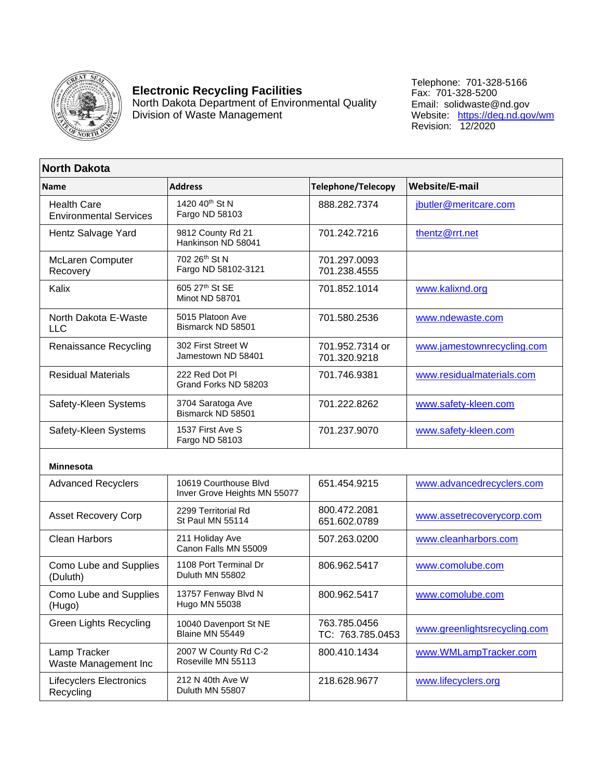

## **Electronic Recycling Facilities**

North Dakota Department of Environmental Quality Division of Waste Management

Telephone: 701-328-5166 Fax: 701-328-5200 Email: solidwaste@nd.gov Website: <u>https://deq.nd.gov/wm</u> Revision: 12/2020

## **North Dakota**

| <b>Name</b>                                         | <b>Address</b>                                        | <b>Telephone/Telecopy</b>        | <b>Website/E-mail</b>      |
|-----------------------------------------------------|-------------------------------------------------------|----------------------------------|----------------------------|
| <b>Health Care</b><br><b>Environmental Services</b> | 1420 40th St N<br>Fargo ND 58103                      | 888.282.7374                     | jbutler@meritcare.com      |
| Hentz Salvage Yard                                  | 9812 County Rd 21<br>Hankinson ND 58041               | 701.242.7216                     | thentz@rrt.net             |
| McLaren Computer<br>Recovery                        | 702 26th St N<br>Fargo ND 58102-3121                  | 701.297.0093<br>701.238.4555     |                            |
| Kalix                                               | 605 27th St SE<br>Minot ND 58701                      | 701.852.1014                     | www.kalixnd.org            |
| North Dakota E-Waste<br><b>LLC</b>                  | 5015 Platoon Ave<br>Bismarck ND 58501                 | 701.580.2536                     | www.ndewaste.com           |
| Renaissance Recycling                               | 302 First Street W<br>Jamestown ND 58401              | 701.952.7314 or<br>701.320.9218  | www.jamestownrecycling.com |
| <b>Residual Materials</b>                           | 222 Red Dot PI<br>Grand Forks ND 58203                | 701.746.9381                     | www.residualmaterials.com  |
| Safety-Kleen Systems                                | 3704 Saratoga Ave<br>Bismarck ND 58501                | 701.222.8262                     | www.safety-kleen.com       |
| Safety-Kleen Systems                                | 1537 First Ave S<br>Fargo ND 58103                    | 701.237.9070                     | www.safety-kleen.com       |
| <b>Minnesota</b>                                    |                                                       |                                  |                            |
| <b>Advanced Recyclers</b>                           | 10619 Courthouse Blvd<br>Inver Grove Heights MN 55077 | 651.454.9215                     | www.advancedrecyclers.com  |
| <b>Asset Recovery Corp</b>                          | 2299 Territorial Rd<br>St Paul MN 55114               | 800.472.2081<br>651.602.0789     | www.assetrecoverycorp.com  |
| <b>Clean Harbors</b>                                | 211 Holiday Ave<br>Canon Falls MN 55009               | 507.263.0200                     | www.cleanharbors.com       |
| Como Lube and Supplies<br>(Duluth)                  | 1108 Port Terminal Dr<br>Duluth MN 55802              | 806.962.5417                     | www.comolube.com           |
| Como Lube and Supplies                              | 13757 Fenway Rhd N                                    | $R$ $0$ $0$ $R$ $2$ $5$ $11$ $7$ | <i>MAAN COMOLUDA COM</i>   |

| Como Lube and Supplies<br>(Duluth)          | 1108 Port Terminal Dr<br>Duluth MN 55802        | 806.962.5417                     | www.comolube.com             |
|---------------------------------------------|-------------------------------------------------|----------------------------------|------------------------------|
| Como Lube and Supplies<br>(Hugo)            | 13757 Fenway Blvd N<br>Hugo MN 55038            | 800.962.5417                     | www.comolube.com             |
| Green Lights Recycling                      | 10040 Davenport St NE<br><b>Blaine MN 55449</b> | 763.785.0456<br>TC: 763.785.0453 | www.greenlightsrecycling.com |
| Lamp Tracker<br>Waste Management Inc        | 2007 W County Rd C-2<br>Roseville MN 55113      | 800.410.1434                     | www.WMLampTracker.com        |
| <b>Lifecyclers Electronics</b><br>Recycling | 212 N 40th Ave W<br>Duluth MN 55807             | 218.628.9677                     | www.lifecyclers.org          |